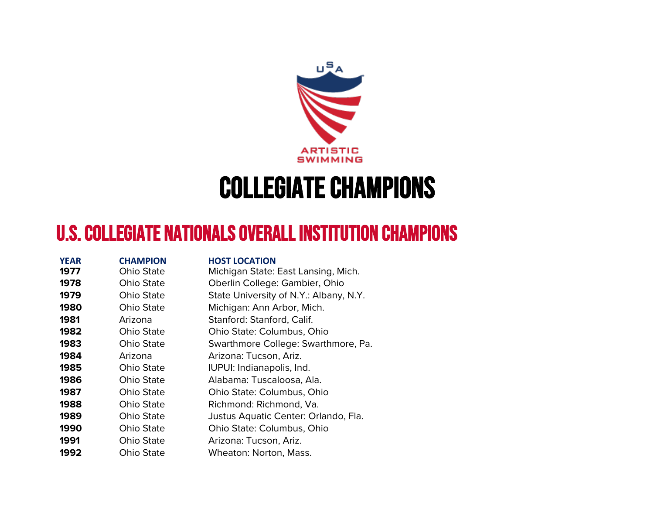

## COLLEGIATE CHAMPIONS

## U.S. COLLEGIATE NATIONALS OVERALL INSTITUTION CHAMPIONS

| <b>YEAR</b> | <b>CHAMPION</b>   | <b>HOST LOCATION</b>                   |
|-------------|-------------------|----------------------------------------|
| 1977        | <b>Ohio State</b> | Michigan State: East Lansing, Mich.    |
| 1978        | Ohio State        | Oberlin College: Gambier, Ohio         |
| 1979        | <b>Ohio State</b> | State University of N.Y.: Albany, N.Y. |
| 1980        | <b>Ohio State</b> | Michigan: Ann Arbor, Mich.             |
| 1981        | Arizona           | Stanford: Stanford, Calif.             |
| 1982        | <b>Ohio State</b> | Ohio State: Columbus, Ohio             |
| 1983        | Ohio State        | Swarthmore College: Swarthmore, Pa.    |
| 1984        | Arizona           | Arizona: Tucson, Ariz.                 |
| 1985        | Ohio State        | IUPUI: Indianapolis, Ind.              |
| 1986        | Ohio State        | Alabama: Tuscaloosa, Ala.              |
| 1987        | <b>Ohio State</b> | Ohio State: Columbus, Ohio             |
| 1988        | <b>Ohio State</b> | Richmond: Richmond, Va.                |
| 1989        | Ohio State        | Justus Aquatic Center: Orlando, Fla.   |
| 1990        | Ohio State        | Ohio State: Columbus, Ohio             |
| 1991        | <b>Ohio State</b> | Arizona: Tucson, Ariz.                 |
| 1992        | Ohio State        | Wheaton: Norton, Mass.                 |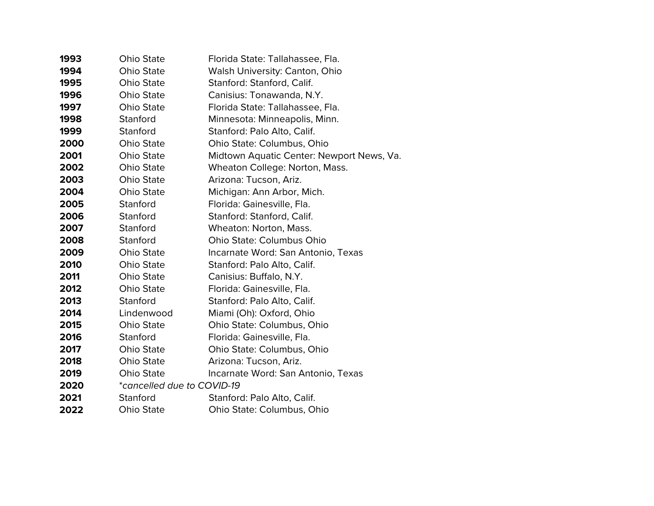| 1993 | <b>Ohio State</b>          | Florida State: Tallahassee, Fla.          |  |  |
|------|----------------------------|-------------------------------------------|--|--|
| 1994 | Ohio State                 | <b>Walsh University: Canton, Ohio</b>     |  |  |
| 1995 | <b>Ohio State</b>          | Stanford: Stanford, Calif.                |  |  |
| 1996 | <b>Ohio State</b>          | Canisius: Tonawanda, N.Y.                 |  |  |
| 1997 | Ohio State                 | Florida State: Tallahassee, Fla.          |  |  |
| 1998 | Stanford                   | Minnesota: Minneapolis, Minn.             |  |  |
| 1999 | Stanford                   | Stanford: Palo Alto, Calif.               |  |  |
| 2000 | Ohio State                 | Ohio State: Columbus, Ohio                |  |  |
| 2001 | <b>Ohio State</b>          | Midtown Aquatic Center: Newport News, Va. |  |  |
| 2002 | <b>Ohio State</b>          | Wheaton College: Norton, Mass.            |  |  |
| 2003 | <b>Ohio State</b>          | Arizona: Tucson, Ariz.                    |  |  |
| 2004 | Ohio State                 | Michigan: Ann Arbor, Mich.                |  |  |
| 2005 | Stanford                   | Florida: Gainesville, Fla.                |  |  |
| 2006 | Stanford                   | Stanford: Stanford, Calif.                |  |  |
| 2007 | Stanford                   | Wheaton: Norton, Mass.                    |  |  |
| 2008 | Stanford                   | <b>Ohio State: Columbus Ohio</b>          |  |  |
| 2009 | <b>Ohio State</b>          | Incarnate Word: San Antonio, Texas        |  |  |
| 2010 | <b>Ohio State</b>          | Stanford: Palo Alto, Calif.               |  |  |
| 2011 | <b>Ohio State</b>          | Canisius: Buffalo, N.Y.                   |  |  |
| 2012 | <b>Ohio State</b>          | Florida: Gainesville, Fla.                |  |  |
| 2013 | Stanford                   | Stanford: Palo Alto, Calif.               |  |  |
| 2014 | Lindenwood                 | Miami (Oh): Oxford, Ohio                  |  |  |
| 2015 | <b>Ohio State</b>          | Ohio State: Columbus, Ohio                |  |  |
| 2016 | Stanford                   | Florida: Gainesville, Fla.                |  |  |
| 2017 | <b>Ohio State</b>          | Ohio State: Columbus, Ohio                |  |  |
| 2018 | Ohio State                 | Arizona: Tucson, Ariz.                    |  |  |
| 2019 | Ohio State                 | Incarnate Word: San Antonio, Texas        |  |  |
| 2020 | *cancelled due to COVID-19 |                                           |  |  |
| 2021 | Stanford                   | Stanford: Palo Alto, Calif.               |  |  |
| 2022 | <b>Ohio State</b>          | Ohio State: Columbus, Ohio                |  |  |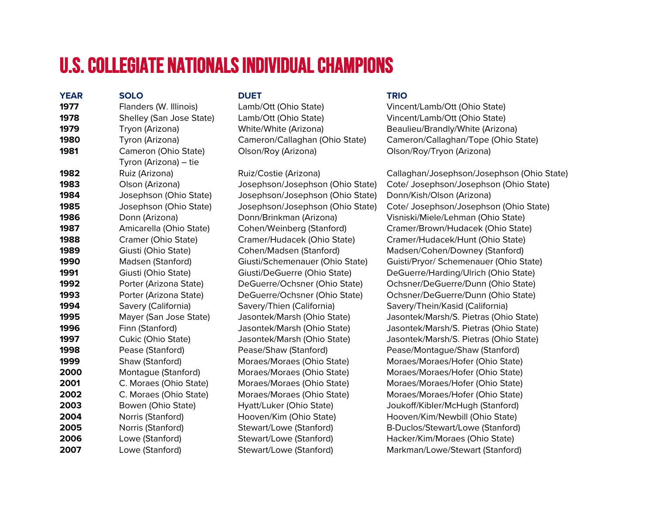## U.S. COLLEGIATE NATIONALS INDIVIDUAL CHAMPIONS

| <b>YEAR</b> | <b>SOLO</b>              | <b>DUET</b>                      | <b>TRIO</b>                                |
|-------------|--------------------------|----------------------------------|--------------------------------------------|
| 1977        | Flanders (W. Illinois)   | Lamb/Ott (Ohio State)            | Vincent/Lamb/Ott (Ohio State)              |
| 1978        | Shelley (San Jose State) | Lamb/Ott (Ohio State)            | Vincent/Lamb/Ott (Ohio State)              |
| 1979        | Tryon (Arizona)          | White/White (Arizona)            | Beaulieu/Brandly/White (Arizona)           |
| 1980        | Tyron (Arizona)          | Cameron/Callaghan (Ohio State)   | Cameron/Callaghan/Tope (Ohio State)        |
| 1981        | Cameron (Ohio State)     | Olson/Roy (Arizona)              | Olson/Roy/Tryon (Arizona)                  |
|             | Tyron (Arizona) - tie    |                                  |                                            |
| 1982        | Ruiz (Arizona)           | Ruiz/Costie (Arizona)            | Callaghan/Josephson/Josephson (Ohio State) |
| 1983        | Olson (Arizona)          | Josephson/Josephson (Ohio State) | Cote/ Josephson/Josephson (Ohio State)     |
| 1984        | Josephson (Ohio State)   | Josephson/Josephson (Ohio State) | Donn/Kish/Olson (Arizona)                  |
| 1985        | Josephson (Ohio State)   | Josephson/Josephson (Ohio State) | Cote/ Josephson/Josephson (Ohio State)     |
| 1986        | Donn (Arizona)           | Donn/Brinkman (Arizona)          | Visniski/Miele/Lehman (Ohio State)         |
| 1987        | Amicarella (Ohio State)  | Cohen/Weinberg (Stanford)        | Cramer/Brown/Hudacek (Ohio State)          |
| 1988        | Cramer (Ohio State)      | Cramer/Hudacek (Ohio State)      | Cramer/Hudacek/Hunt (Ohio State)           |
| 1989        | Giusti (Ohio State)      | Cohen/Madsen (Stanford)          | Madsen/Cohen/Downey (Stanford)             |
| 1990        | Madsen (Stanford)        | Giusti/Schemenauer (Ohio State)  | Guisti/Pryor/ Schemenauer (Ohio State)     |
| 1991        | Giusti (Ohio State)      | Giusti/DeGuerre (Ohio State)     | DeGuerre/Harding/Ulrich (Ohio State)       |
| 1992        | Porter (Arizona State)   | DeGuerre/Ochsner (Ohio State)    | Ochsner/DeGuerre/Dunn (Ohio State)         |
| 1993        | Porter (Arizona State)   | DeGuerre/Ochsner (Ohio State)    | Ochsner/DeGuerre/Dunn (Ohio State)         |
| 1994        | Savery (California)      | Savery/Thien (California)        | Savery/Thein/Kasid (California)            |
| 1995        | Mayer (San Jose State)   | Jasontek/Marsh (Ohio State)      | Jasontek/Marsh/S. Pietras (Ohio State)     |
| 1996        | Finn (Stanford)          | Jasontek/Marsh (Ohio State)      | Jasontek/Marsh/S. Pietras (Ohio State)     |
| 1997        | Cukic (Ohio State)       | Jasontek/Marsh (Ohio State)      | Jasontek/Marsh/S. Pietras (Ohio State)     |
| 1998        | Pease (Stanford)         | Pease/Shaw (Stanford)            | Pease/Montague/Shaw (Stanford)             |
| 1999        | Shaw (Stanford)          | Moraes/Moraes (Ohio State)       | Moraes/Moraes/Hofer (Ohio State)           |
| 2000        | Montague (Stanford)      | Moraes/Moraes (Ohio State)       | Moraes/Moraes/Hofer (Ohio State)           |
| 2001        | C. Moraes (Ohio State)   | Moraes/Moraes (Ohio State)       | Moraes/Moraes/Hofer (Ohio State)           |
| 2002        | C. Moraes (Ohio State)   | Moraes/Moraes (Ohio State)       | Moraes/Moraes/Hofer (Ohio State)           |
| 2003        | Bowen (Ohio State)       | Hyatt/Luker (Ohio State)         | Joukoff/Kibler/McHugh (Stanford)           |
| 2004        | Norris (Stanford)        | Hooven/Kim (Ohio State)          | Hooven/Kim/Newbill (Ohio State)            |
| 2005        | Norris (Stanford)        | Stewart/Lowe (Stanford)          | B-Duclos/Stewart/Lowe (Stanford)           |
| 2006        | Lowe (Stanford)          | Stewart/Lowe (Stanford)          | Hacker/Kim/Moraes (Ohio State)             |
| 2007        | Lowe (Stanford)          | Stewart/Lowe (Stanford)          | Markman/Lowe/Stewart (Stanford)            |